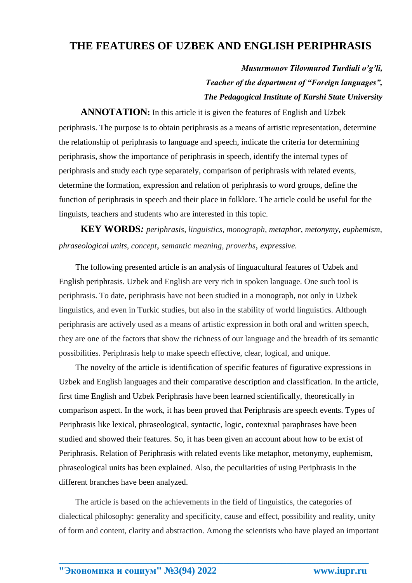## **THE FEATURES OF UZBEK AND ENGLISH PERIPHRASIS**

*Musurmonov Tilovmurod Turdiali o'g'li, Teacher of the department of "Foreign languages", The Pedagogical Institute of Karshi State University*

 **ANNOTATION:** In this article it is given the features of English and Uzbek periphrasis. The purpose is to obtain periphrasis as a means of artistic representation, determine the relationship of periphrasis to language and speech, indicate the criteria for determining periphrasis, show the importance of periphrasis in speech, identify the internal types of periphrasis and study each type separately, comparison of periphrasis with related events, determine the formation, expression and relation of periphrasis to word groups, define the function of periphrasis in speech and their place in folklore. The article could be useful for the linguists, teachers and students who are interested in this topic.

 **KEY WORDS***: periphrasis, linguistics, monograph, metaphor, metonymy, euphemism, phraseological units, concept, semantic meaning, proverbs, expressive.*

 The following presented article is an analysis of linguacultural features of Uzbek and English periphrasis. Uzbek and English are very rich in spoken language. One such tool is periphrasis. To date, periphrasis have not been studied in a monograph, not only in Uzbek linguistics, and even in Turkic studies, but also in the stability of world linguistics. Although periphrasis are actively used as a means of artistic expression in both oral and written speech, they are one of the factors that show the richness of our language and the breadth of its semantic possibilities. Periphrasis help to make speech effective, clear, logical, and unique.

 The novelty of the article is identification of specific features of figurative expressions in Uzbek and English languages and their comparative description and classification. In the article, first time English and Uzbek Periphrasis have been learned scientifically, theoretically in comparison aspect. In the work, it has been proved that Periphrasis are speech events. Types of Periphrasis like lexical, phraseological, syntactic, logic, contextual paraphrases have been studied and showed their features. So, it has been given an account about how to be exist of Periphrasis. Relation of Periphrasis with related events like metaphor, metonymy, euphemism, phraseological units has been explained. Also, the peculiarities of using Periphrasis in the different branches have been analyzed.

The article is based on the achievements in the field of linguistics, the categories of dialectical philosophy: generality and specificity, cause and effect, possibility and reality, unity of form and content, clarity and abstraction. Among the scientists who have played an important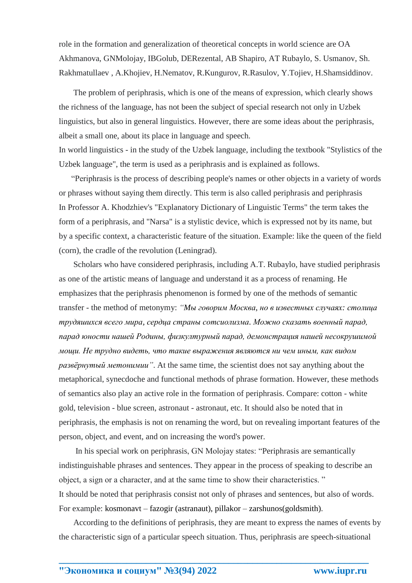role in the formation and generalization of theoretical concepts in world science are OA Akhmanova, GNMolojay, IBGolub, DERezental, AB Shapiro, AT Rubaylo, S. Usmanov, Sh. Rakhmatullaev , A.Khojiev, H.Nematov, R.Kungurov, R.Rasulov, Y.Tojiev, H.Shamsiddinov.

 The problem of periphrasis, which is one of the means of expression, which clearly shows the richness of the language, has not been the subject of special research not only in Uzbek linguistics, but also in general linguistics. However, there are some ideas about the periphrasis, albeit a small one, about its place in language and speech. In world linguistics - in the study of the Uzbek language, including the textbook "Stylistics of the

Uzbek language", the term is used as a periphrasis and is explained as follows.

 "Periphrasis is the process of describing people's names or other objects in a variety of words or phrases without saying them directly. This term is also called periphrasis and periphrasis In Professor A. Khodzhiev's "Explanatory Dictionary of Linguistic Terms" the term takes the form of a periphrasis, and "Narsa" is a stylistic device, which is expressed not by its name, but by a specific context, a characteristic feature of the situation. Example: like the queen of the field (corn), the cradle of the revolution (Leningrad).

 Scholars who have considered periphrasis, including A.T. Rubaylo, have studied periphrasis as one of the artistic means of language and understand it as a process of renaming. He emphasizes that the periphrasis phenomenon is formed by one of the methods of semantic transfer - the method of metonymy: *"Mы говорим Москва, но в известных случаях: столица трудяшихся всего мира, сердца страны сотсиолизма. Можно сказать военный парад, парад юности нашей Родины, физкултурный парад, демонстрация нашей несокрушимой мощи. Не трудно видеть, что такие выражения являются ни чем иным, как видом развёрнутый метонимии"*. At the same time, the scientist does not say anything about the metaphorical, synecdoche and functional methods of phrase formation. However, these methods of semantics also play an active role in the formation of periphrasis. Compare: cotton - white gold, television - blue screen, astronaut - astronaut, etc. It should also be noted that in periphrasis, the emphasis is not on renaming the word, but on revealing important features of the person, object, and event, and on increasing the word's power.

 In his special work on periphrasis, GN Molojay states: "Periphrasis are semantically indistinguishable phrases and sentences. They appear in the process of speaking to describe an object, a sign or a character, and at the same time to show their characteristics. " It should be noted that periphrasis consist not only of phrases and sentences, but also of words. For example: kosmonavt – fazogir (astranaut), pillakor – zarshunos(goldsmith).

 According to the definitions of periphrasis, they are meant to express the names of events by the characteristic sign of a particular speech situation. Thus, periphrasis are speech-situational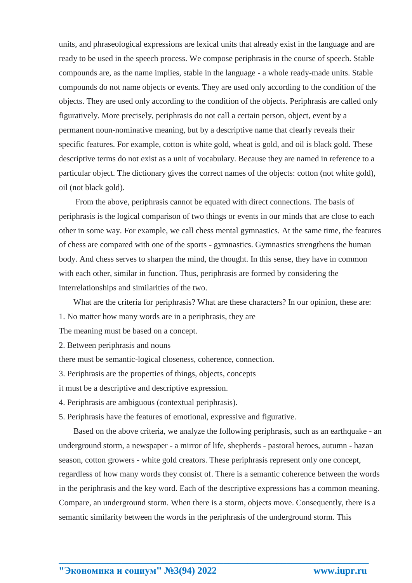units, and phraseological expressions are lexical units that already exist in the language and are ready to be used in the speech process. We compose periphrasis in the course of speech. Stable compounds are, as the name implies, stable in the language - a whole ready-made units. Stable compounds do not name objects or events. They are used only according to the condition of the objects. They are used only according to the condition of the objects. Periphrasis are called only figuratively. More precisely, periphrasis do not call a certain person, object, event by a permanent noun-nominative meaning, but by a descriptive name that clearly reveals their specific features. For example, cotton is white gold, wheat is gold, and oil is black gold. These descriptive terms do not exist as a unit of vocabulary. Because they are named in reference to a particular object. The dictionary gives the correct names of the objects: cotton (not white gold), oil (not black gold).

 From the above, periphrasis cannot be equated with direct connections. The basis of periphrasis is the logical comparison of two things or events in our minds that are close to each other in some way. For example, we call chess mental gymnastics. At the same time, the features of chess are compared with one of the sports - gymnastics. Gymnastics strengthens the human body. And chess serves to sharpen the mind, the thought. In this sense, they have in common with each other, similar in function. Thus, periphrasis are formed by considering the interrelationships and similarities of the two.

What are the criteria for periphrasis? What are these characters? In our opinion, these are: 1. No matter how many words are in a periphrasis, they are

The meaning must be based on a concept.

2. Between periphrasis and nouns

there must be semantic-logical closeness, coherence, connection.

3. Periphrasis are the properties of things, objects, concepts

it must be a descriptive and descriptive expression.

4. Periphrasis are ambiguous (contextual periphrasis).

5. Periphrasis have the features of emotional, expressive and figurative.

 Based on the above criteria, we analyze the following periphrasis, such as an earthquake - an underground storm, a newspaper - a mirror of life, shepherds - pastoral heroes, autumn - hazan season, cotton growers - white gold creators. These periphrasis represent only one concept, regardless of how many words they consist of. There is a semantic coherence between the words in the periphrasis and the key word. Each of the descriptive expressions has a common meaning. Compare, an underground storm. When there is a storm, objects move. Consequently, there is a semantic similarity between the words in the periphrasis of the underground storm. This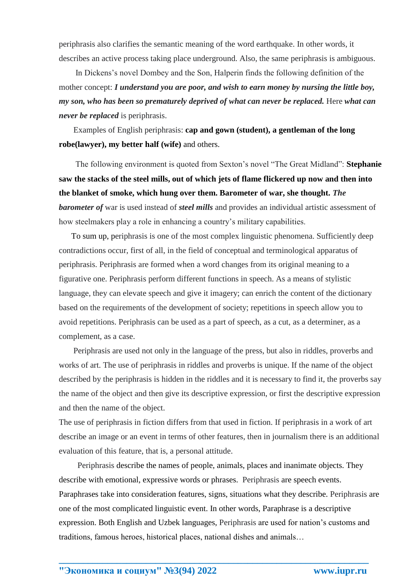periphrasis also clarifies the semantic meaning of the word earthquake. In other words, it describes an active process taking place underground. Also, the same periphrasis is ambiguous.

 In Dickens's novel Dombey and the Son, Halperin finds the following definition of the mother concept: *I understand you are poor, and wish to earn money by nursing the little boy, my son, who has been so prematurely deprived of what can never be replaced.* Here *what can never be replaced* is periphrasis.

 Examples of English periphrasis: **cap and gown (student), a gentleman of the long robe(lawyer), my better half (wife)** and others.

 The following environment is quoted from Sexton's novel "The Great Midland": **Stephanie saw the stacks of the steel mills, out of which jets of flame flickered up now and then into the blanket of smoke, which hung over them. Barometer of war, she thought.** *The barometer of* war is used instead of *steel mills* and provides an individual artistic assessment of how steelmakers play a role in enhancing a country's military capabilities.

 To sum up, periphrasis is one of the most complex linguistic phenomena. Sufficiently deep contradictions occur, first of all, in the field of conceptual and terminological apparatus of periphrasis. Periphrasis are formed when a word changes from its original meaning to a figurative one. Periphrasis perform different functions in speech. As a means of stylistic language, they can elevate speech and give it imagery; can enrich the content of the dictionary based on the requirements of the development of society; repetitions in speech allow you to avoid repetitions. Periphrasis can be used as a part of speech, as a cut, as a determiner, as a complement, as a case.

 Periphrasis are used not only in the language of the press, but also in riddles, proverbs and works of art. The use of periphrasis in riddles and proverbs is unique. If the name of the object described by the periphrasis is hidden in the riddles and it is necessary to find it, the proverbs say the name of the object and then give its descriptive expression, or first the descriptive expression and then the name of the object.

The use of periphrasis in fiction differs from that used in fiction. If periphrasis in a work of art describe an image or an event in terms of other features, then in journalism there is an additional evaluation of this feature, that is, a personal attitude.

 Periphrasis describe the names of people, animals, places and inanimate objects. They describe with emotional, expressive words or phrases. Periphrasis are speech events. Paraphrases take into consideration features, signs, situations what they describe. Periphrasis are one of the most complicated linguistic event. In other words, Paraphrase is a descriptive expression. Both English and Uzbek languages, Periphrasis are used for nation's customs and traditions, famous heroes, historical places, national dishes and animals…